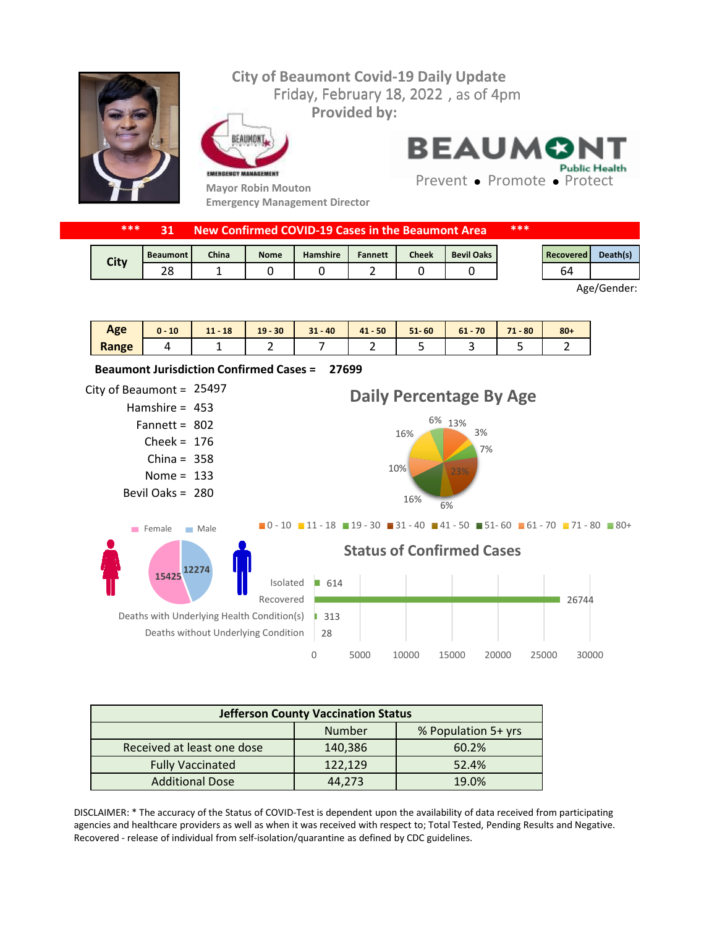

| ***         |                 |       |             | New Confirmed COVID-19 Cases in the Beaumont Area |                |              |                   | *** |           |          |
|-------------|-----------------|-------|-------------|---------------------------------------------------|----------------|--------------|-------------------|-----|-----------|----------|
|             | <b>Beaumont</b> | China | <b>Nome</b> | <b>Hamshire</b>                                   | <b>Fannett</b> | <b>Cheek</b> | <b>Bevil Oaks</b> |     | Recovered | Death(s) |
| <b>City</b> |                 |       |             |                                                   |                |              |                   |     | 64        |          |

Age/Gender:

| Age   | 10 | $-18$<br>11 <sub>1</sub><br>$\overline{\phantom{a}}$ | $19 - 30$ | $31 - 40$ | $41 - 50$ | $51 - 60$ | 70<br>61 | 71<br>$-80$<br>. . | $80 +$ |
|-------|----|------------------------------------------------------|-----------|-----------|-----------|-----------|----------|--------------------|--------|
| Range |    | -                                                    | -         |           | -         |           |          |                    |        |



| <b>Jefferson County Vaccination Status</b> |         |       |  |  |  |
|--------------------------------------------|---------|-------|--|--|--|
| % Population 5+ yrs<br>Number              |         |       |  |  |  |
| Received at least one dose                 | 140,386 | 60.2% |  |  |  |
| <b>Fully Vaccinated</b>                    | 122,129 | 52.4% |  |  |  |
| <b>Additional Dose</b>                     | 44.273  | 19.0% |  |  |  |

DISCLAIMER: \* The accuracy of the Status of COVID-Test is dependent upon the availability of data received from participating agencies and healthcare providers as well as when it was received with respect to; Total Tested, Pending Results and Negative. Recovered - release of individual from self-isolation/quarantine as defined by CDC guidelines.